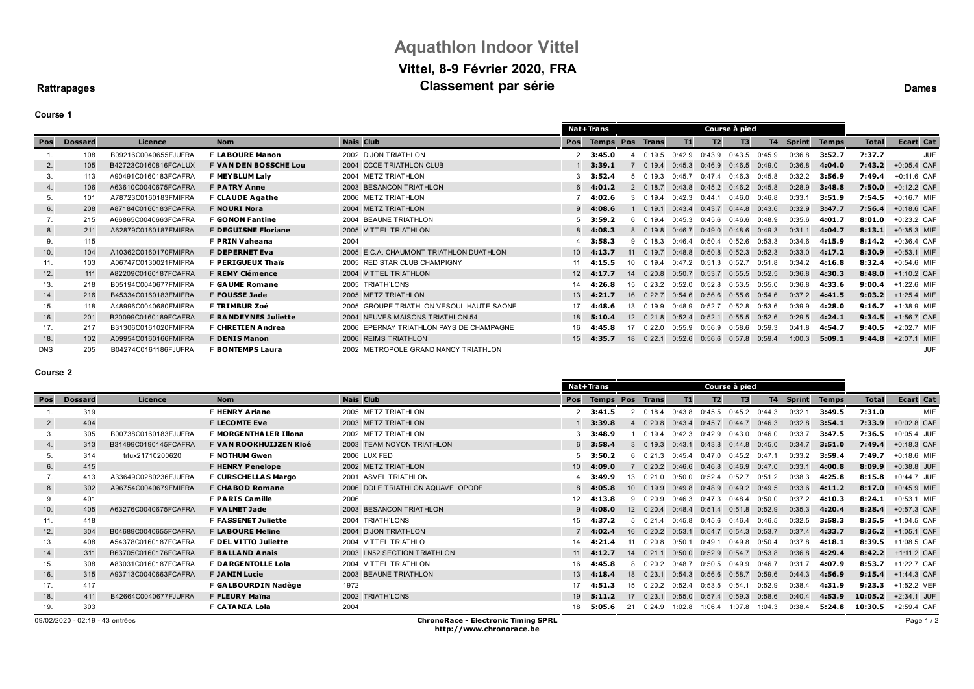# **Aquathlon Indoor Vittel Vittel, 8-9 Février 2020, FRA Classement** par série **Dames**

### **Rattrapages**

## **Course 1**

|            |                |                      |                              |                                          |                 | <b>Nat+Trans</b>  |     |                   |                   | Course à pied  |                   |                |               |              |              |                  |
|------------|----------------|----------------------|------------------------------|------------------------------------------|-----------------|-------------------|-----|-------------------|-------------------|----------------|-------------------|----------------|---------------|--------------|--------------|------------------|
| Pos        | <b>Dossard</b> | Licence              | <b>Nom</b>                   | <b>Nais Club</b>                         | Pos             | <b>Temps Pos</b>  |     | <b>Trans</b>      | T1                | T <sub>2</sub> | T3                | T <sub>4</sub> | <b>Sprint</b> | <b>Temps</b> | <b>Total</b> | <b>Ecart Cat</b> |
|            | 108            | B09216C0040655FJUFRA | <b>F LABOURE Manon</b>       | 2002 DIJON TRIATHLON                     |                 | 2, 3:45.0         |     | 0:19.5            | 0:42.9            | 0:43.9         | 0:43.5            | 0:45.9         | 0:36.8        | 3:52.7       | 7:37.7       | <b>JUF</b>       |
| 2.         | 105            | B42723C0160816FCALUX | <b>F VAN DEN BOSSCHE Lou</b> | 2004 CCCE TRIATHLON CLUB                 |                 | 3:39.1            |     | 0:19.4            | $0:45.3$ $0:46.9$ |                | 0:46.5            | 0:49.0         | 0:36.8        | 4:04.0       | 7:43.2       | $+0:05.4$ CAF    |
| 3.         | 113            | A90491C0160183FCAFRA | F MEYBLUM Laly               | 2004 METZ TRIATHLON                      |                 | 3:52.4            |     | 0:19.3            | 0:45.7            | 0:47.4         | 0:46.3            | 0:45.8         | 0:32.2        | 3:56.9       | 7:49.4       | $+0:11.6$ CAF    |
| 4.         | 106            | A63610C0040675FCAFRA | <b>F PATRY Anne</b>          | 2003 BESANCON TRIATHLON                  |                 | $6$ 4:01.2        |     | 0:18.7            | $0:43.8$ $0:45.2$ |                | 0:46.2            | 0:45.8         | 0:28.9        | 3:48.8       | 7:50.0       | $+0:12.2$ CAF    |
| 5.         | 101            | A78723C0160183FMIFRA | F CLAUDE Agathe              | 2006 METZ TRIATHLON                      |                 | 4:02.6            |     | 0:19.4            | $0:42.3$ $0:44.1$ |                | 0:46.0            | 0:46.8         | 0:33.1        | 3:51.9       | 7:54.5       | $+0:16.7$ MIF    |
| 6.         | 208            | A87184C0160183FCAFRA | <b>F NOURI Nora</b>          | 2004 METZ TRIATHLON                      |                 | $9$ 4:08.6        |     | 0:19.1            | $0:43.4$ $0:43.7$ |                | 0:44.8            | 0:43.6         | 0:32.9        | 3:47.7       | 7:56.4       | $+0:18.6$ CAF    |
| 7.         | 215            | A66865C0040663FCAFRA | <b>F GONON Fantine</b>       | 2004 BEAUNE TRIATHLON                    |                 | $5$ 3:59.2        |     | 0:19.4            | 0:45.3            | 0:45.6         | 0:46.6            | 0:48.9         | 0:35.6        | 4:01.7       | 8:01.0       | $+0:23.2$ CAF    |
| 8.         | 211            | A62879C0160187FMIFRA | <b>F DEGUISNE Floriane</b>   | 2005 VITTEL TRIATHLON                    |                 | $8$ 4:08.3        |     | $0:19.8$ $0:46.7$ |                   | 0:49.0         | 0:48.6            | 0:49.3         | 0:31.1        | 4:04.7       | 8:13.1       | $+0:35.3$ MIF    |
| 9.         | 115            |                      | <b>F PRIN Vaheana</b>        | 2004                                     |                 | 3:58.3            |     | 0:18.3            | 0:46.4            | 0:50.4         | 0:52.6            | 0:53.3         | 0:34.6        | 4:15.9       | 8:14.2       | +0:36.4 CAF      |
| 10.        | 104            | A10362C0160170FMIFRA | <b>F DEPERNET Eva</b>        | 2005 E.C.A. CHAUMONT TRIATHLON DUATHLON  |                 | $10 \quad 4:13.7$ | 11  | 0:19.7            | 0:48.8            | 0:50.8         | 0:52.3            | 0:52.3         | 0:33.0        | 4:17.2       | 8:30.9       | $+0:53.1$ MIF    |
| 11.        | 103            | A06747C0130021FMIFRA | <b>F PERIGUEUX Thaïs</b>     | 2005 RED STAR CLUB CHAMPIGNY             |                 | 4:15.5            | 10  | 0.194             | $0:47.2$ $0:51.3$ |                | 0:52.7            | 0:51.8         | 0:34.2        | 4:16.8       | 8:32.4       | $+0:54.6$ MIF    |
| 12.        | 111            | A82209C0160187FCAFRA | <b>F REMY Clémence</b>       | 2004 VITTEL TRIATHLON                    | 12              | 4:17.7            | 14  | 0:20.8            | 0:50.7            | 0:53.7         | $0:55.5$ $0:52.5$ |                | 0:36.8        | 4:30.3       | 8:48.0       | $+1:10.2$ CAF    |
| 13.        | 218            | B05194C0040677FMIFRA | <b>F GAUME Romane</b>        | 2005 TRIATH LONS                         |                 | 4:26.8            | 15  | 0:23.2            | 0:52.0            | 0:52.8         | 0:53.5            | 0:55.0         | 0:36.8        | 4:33.6       | 9:00.4       | +1:22.6 MIF      |
| 14.        | 216            | B45334C0160183FMIFRA | <b>F FOUSSE Jade</b>         | 2005 METZ TRIATHLON                      | 13 <sup>7</sup> | 4:21.7            | 16  | 0:22.7            | $0:54.6$ $0:56.6$ |                | 0:55.6            | 0:54.6         | 0:37.2        | 4:41.5       | 9:03.2       | $+1:25.4$ MIF    |
| 15.        | 118            | A48996C0040680FMIFRA | <b>F TRIMBUR Zoé</b>         | 2005 GROUPE TRIATHLON VESOUL HAUTE SAONE | 17              | 4:48.6            | 13. | 0:19.9            | 0:48.9            | 0:52.7         | 0:52.8            | 0:53.6         | 0:39.9        | 4:28.0       | 9:16.7       | +1:38.9 MIF      |
| 16.        | 201            | B20099C0160189FCAFRA | <b>F RANDEYNES Juliette</b>  | 2004 NEUVES MAISONS TRIATHLON 54         |                 | 18 5:10.4         | 12  | 0:21.8            | 0:52.4            | 0:52.1         | 0:55.5            | 0:52.6         | 0:29.5        | 4:24.1       | 9:34.5       | +1:56.7 CAF      |
| 17.        | 217            | B31306C0161020FMIFRA | <b>F CHRETIEN Andrea</b>     | 2006 EPERNAY TRIATHLON PAYS DE CHAMPAGNE |                 | 16 4:45.8         |     | 0:22.0            | 0:55.9            | 0:56.9         | 0:58.6            | 0:59.3         | 0:41.8        | 4:54.7       | 9:40.5       | +2:02.7 MIF      |
| 18.        | 102            | A09954C0160166FMIFRA | <b>F DENIS Manon</b>         | 2006 REIMS TRIATHLON                     |                 | $15$ 4:35.7       | 18  | 0:22.1            | 0:52.6            | 0:56.6         | $0:57.8$ 0:59.4   |                | 1:00.3        | 5:09.1       | 9:44.8       | $+2:07.1$ MIF    |
| <b>DNS</b> | 205            | B04274C0161186FJUFRA | F BONTEMPS Laura             | 2002 METROPOLE GRAND NANCY TRIATHLON     |                 |                   |     |                   |                   |                |                   |                |               |              |              | JUF              |

#### **Course 2**

|     |                                 |                      |                               |                                            |               | Nat+Trans         | Course à pied   |              |        |                                    |                   |        |               |              |              |                  |
|-----|---------------------------------|----------------------|-------------------------------|--------------------------------------------|---------------|-------------------|-----------------|--------------|--------|------------------------------------|-------------------|--------|---------------|--------------|--------------|------------------|
| Pos | <b>Dossard</b>                  | Licence              | <b>Nom</b>                    | <b>Nais Club</b>                           |               | <b>Temps Pos</b>  |                 | <b>Trans</b> | T1     | T2                                 | T3                | T4     | <b>Sprint</b> | <b>Temps</b> | <b>Total</b> | <b>Ecart Cat</b> |
|     | 319                             |                      | <b>F HENRY Ariane</b>         | 2005 METZ TRIATHLON                        | $\mathcal{P}$ | 3:41.5            |                 | 0:18.4       | 0:43.8 | 0:45.5                             | 0:45.2            | 0:44.3 | 0:32.         | 3:49.5       | 7:31.0       | MIF              |
| 2.  | 404                             |                      | <b>F LECOMTE Eve</b>          | 2003 METZ TRIATHLON                        |               | 3:39.8            |                 | 0:20.8       | 0:43.4 | 0:45.7                             | 0:44.7            | 0:46.3 | 0:32.8        | 3:54.1       | 7:33.9       | +0:02.8 CAF      |
| 3.  | 305                             | B00738C0160183FJUFRA | <b>F MORGENTHALER Illona</b>  | 2002 METZ TRIATHLON                        |               | 3:48.9            |                 | 0:19.4       | 0:42.3 | 0:42.9                             | 0:43.0            | 0:46.0 | 0:33.7        | 3:47.5       | 7:36.5       | $+0:05.4$ JUF    |
| 4.  | 313                             | B31499C0190145FCAFRA | <b>F VAN ROOKHUIJZEN Kloé</b> | 2003 TEAM NOYON TRIATHLON                  |               | $6$ 3:58.4        |                 | 0:19.3       | 0:43.1 | 0:43.8                             | 0:44.8            | 0:45.0 | 0:34.7        | 3:51.0       | 7:49.4       | $+0:18.3$ CAF    |
| 5.  | 314                             | trlux21710200620     | <b>F NOTHUM Gwen</b>          | 2006 LUX FED                               |               | $5$ 3:50.2        |                 | 0:21.3       | 0:45.4 | 0:47.0                             | $0:45.2$ $0:47.1$ |        | 0:33.2        | 3:59.4       | 7:49.7       | $+0:18.6$ MIF    |
| 6.  | 415                             |                      | <b>F HENRY Penelope</b>       | 2002 METZ TRIATHLON                        |               | $10 - 4:09.0$     |                 | 0:20.2       | 0:46.6 | 0:46.8                             | 0:46.9            | 0:47.0 | 0:33.1        | 4:00.8       | 8:09.9       | +0:38.8 JUF      |
| 7.  | 413                             | A33649C0280236FJUFRA | F CURSCHELLAS Margo           | 2001 ASVEL TRIATHLON                       |               | 3:49.9            | 13              | 0.210        | 0:50.0 | 0:52.4                             | 0:52.7            | 0:51.2 | 0:38.3        | 4:25.8       | 8:15.8       | $+0:44.7$ JUF    |
| 8.  | 302                             | A96754C0040679FMIFRA | <b>F CHABOD Romane</b>        | 2006 DOLE TRIATHLON AQUAVELOPODE           |               | $8$ 4:05.8        | 10 <sup>1</sup> | 0:19.9       | 0:49.8 | 0:48.9                             | $0:49.2$ $0:49.5$ |        | 0:33.6        | 4:11.2       | 8:17.0       | +0:45.9 MIF      |
| 9.  | 401                             |                      | <b>F PARIS Camille</b>        | 2006                                       | 12            | 4:13.8            |                 | 0.209        | 0:46.3 | 0:47.3                             | 0:48.4            | 0:50.0 | 0:37.2        | 4:10.3       | 8:24.1       | $+0:53.1$ MIF    |
| 10. | 405                             | A63276C0040675FCAFRA | <b>F VALNET Jade</b>          | 2003 BESANCON TRIATHLON                    |               | 4:08.0            | 12              | 0:20.4       | 0:48.4 | 0:51.4                             | 0:51.8            | 0:52.9 | 0:35.3        | 4:20.4       | 8:28.4       | +0:57.3 CAF      |
| 11. | 418                             |                      | <b>F FASSENET Juliette</b>    | 2004 TRIATH'LONS                           | 15            | 4:37.2            | .5              | 0:21.4       | 0:45.8 | 0:45.6                             | 0:46.4            | 0:46.5 | 0:32.5        | 3:58.3       | 8:35.5       | +1:04.5 CAF      |
| 12. | 304                             | B04689C0040655FCAFRA | <b>F LABOURE Meline</b>       | 2004 DIJON TRIATHLON                       |               | 4:02.4            | 16              | 0:20.2       | 0:53.1 | 0:54.7                             | 0:54.3            | 0:53.7 | 0:37.4        | 4:33.7       | 8:36.2       | +1:05.1 CAF      |
| 13. | 408                             | A54378C0160187FCAFRA | F DEL VITTO Juliette          | 2004 VITTEL TRIATHLO                       | 14            | 4:21.4            | 11              | 0:20.8       | 0:50.1 | 0:49.1                             | 0:49.8            | 0:50.4 | 0:37.8        | 4:18.1       | 8:39.5       | +1:08.5 CAF      |
| 14. | 311                             | B63705C0160176FCAFRA | <b>F BALLAND Anais</b>        | 2003 LN52 SECTION TRIATHLON                |               | $11 \quad 4:12.7$ | 14              | 0:21.1       | 0:50.0 | 0:52.9                             | $0:54.7$ $0:53.8$ |        | 0:36.8        | 4:29.4       | 8:42.2       | $+1:11.2$ CAF    |
| 15. | 308                             | A83031C0160187FCAFRA | F DARGENTOLLE Lola            | 2004 VITTEL TRIATHLON                      | 16            | 4:45.8            |                 | 0:20.2       | 0:48.7 | 0:50.5                             | 0:49.9            | 0:46.7 | 0:31.7        | 4:07.9       | 8:53.7       | +1:22.7 CAF      |
| 16. | 315                             | A93713C0040663FCAFRA | <b>F JANIN Lucie</b>          | 2003 BEAUNE TRIATHLON                      | 13            | 4:18.4            | 18              | 0:23.1       | 0:54.3 | 0:56.6                             | 0:58.7            | 0:59.6 | 0:44.3        | 4:56.9       | 9:15.4       | $+1:44.3$ CAF    |
| 17. | 417                             |                      | F GALBOURDIN Nadège           | 1972                                       | 17            | 4:51.3            | 15              | 0:20.2       | 0:52.4 | 0:53.5                             | 0:54.1            | 0:52.9 | 0:38.4        | 4:31.9       | 9:23.3       | +1:52.2 VEF      |
| 18. | 411                             | B42664C0040677FJUFRA | F FLEURY Maïna                | 2002 TRIATH'LONS                           | 19            | 5:11.2            | 17              | 0:23.1       | 0:55.0 | 0:57.4                             | 0:59.3            | 0:58.6 | 0:40.4        | 4:53.9       | 10:05.2      | +2:34.1 JUF      |
| 19. | 303                             |                      | F CATANIA Lola                | 2004                                       |               | 5:05.6            | 21              |              |        | 0:24.9 1:02.8 1:06.4 1:07.8 1:04.3 |                   |        | 0:38.4        | 5:24.8       | 10:30.5      | +2:59.4 CAF      |
|     | 09/02/2020 - 02:19 - 43 entrées |                      |                               | <b>ChronoRace - Electronic Timing SPRL</b> |               |                   |                 |              |        |                                    |                   |        |               |              |              | Page 1/2         |